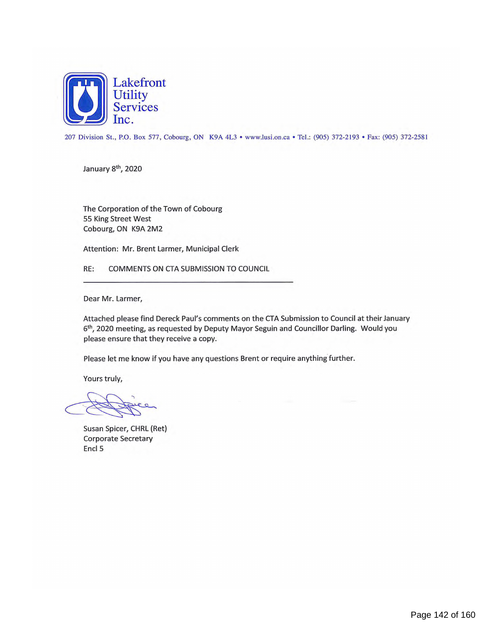

207 Division St., P.O. Box 577, Cobourg, ON K9A 4L3 • www.lusi.on.ca• Tel.: (905) 372-2193 • Fax: (905) 372-2581

January 8<sup>th</sup>, 2020

The Corporation of the Town of Cobourg 55 King Street West Cobourg, ON K9A 2M2

Attention: Mr. Brent Larmer, Municipal Clerk

RE: COMMENTS ON CTA SUBMISSION TO COUNCIL

Dear Mr. Larmer,

Attached please find Dereck Paul's comments on the CTA Submission to Council at their January 6th, 2020 meeting, as requested by Deputy Mayor Seguin and Councillor Darling. Would you please ensure that they receive a copy.

Please let me know if you have any questions Brent or require anything further.

Yours truly,

Susan Spicer, CHRL (Ret) Corporate Secretary Encl 5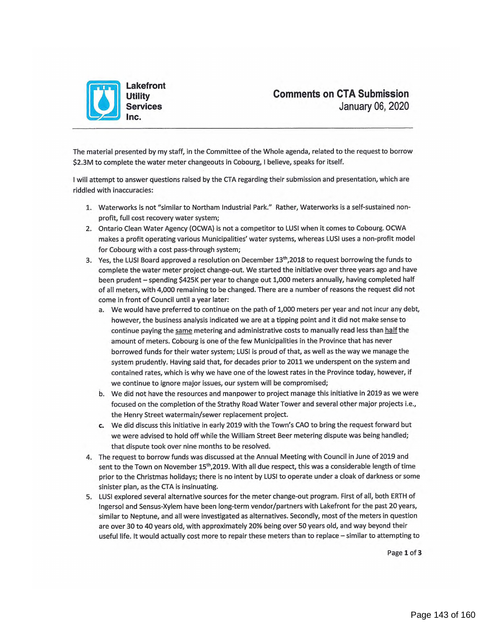

The material presented by my staff, in the Committee of the Whole agenda, related to the request to borrow \$2.3M to complete the water meter changeouts in Cobourg, I believe, speaks for itself.

I will attempt to answer questions raised by the CTA regarding their submission and presentation, which are riddled with inaccuracies:

- 1. Waterworks is not "similar to Northam Industrial Park." Rather, Waterworks is a self-sustained nonprofit, full cost recovery water system;
- 2. Ontario Clean Water Agency (OCWA) is not a competitor to LUSI when it comes to Cobourg. OCWA makes a profit operating various Municipalities' water systems, whereas LUSI uses a non-profit model for Cobourg with a cost pass-through system;
- 3. Yes, the LUSI Board approved a resolution on December  $13<sup>th</sup>$ , 2018 to request borrowing the funds to complete the water meter project change-out. We started the initiative over three years ago and have been prudent — spending \$425K per year to change out 1,000 meters annually, having completed half of all meters, with 4,000 remaining to be changed. There are a number of reasons the request did not come in front of Council until a year later:
	- a. We would have preferred to continue on the path of 1,000 meters per year and not incur any debt, however, the business analysis indicated we are at a tipping point and it did not make sense to continue paying the same metering and administrative costs to manually read less than half the amount of meters. Cobourg is one of the few Municipalities in the Province that has never borrowed funds for their water system; LUSI is proud of that, as well as the way we manage the system prudently. Having said that, for decades prior to 2011 we underspent on the system and contained rates, which is why we have one of the lowest rates in the Province today, however, if we continue to ignore major issues, our system will be compromised;
	- b. We did not have the resources and manpower to project manage this initiative in 2019 as we were focused on the completion of the Strathy Road Water Tower and several other major projects i.e., the Henry Street watermain/sewer replacement project.
	- c. We did discuss this initiative in early 2019 with the Town's CAO to bring the request forward but we were advised to hold off while the William Street Beer metering dispute was being handled; that dispute took over nine months to be resolved.
- 4. The request to borrow funds was discussed at the Annual Meeting with Council in June of 2019 and sent to the Town on November 15<sup>th</sup>,2019. With all due respect, this was a considerable length of time prior to the Christmas holidays; there is no intent by LUSI to operate under a cloak of darkness or some sinister plan, as the CTA is insinuating.
- 5. LUSI explored several alternative sources for the meter change-out program. First of all, both ERTH of Ingersol and Sensus-Xylem have been long-term vendor/partners with Lakefront for the past 20 years, similar to Neptune, and all were investigated as alternatives. Secondly, most of the meters in question are over 30 to 40 years old, with approximately 20% being over 50 years old, and way beyond their useful life. It would actually cost more to repair these meters than to replace — similar to attempting to

Page **1** of **<sup>3</sup>**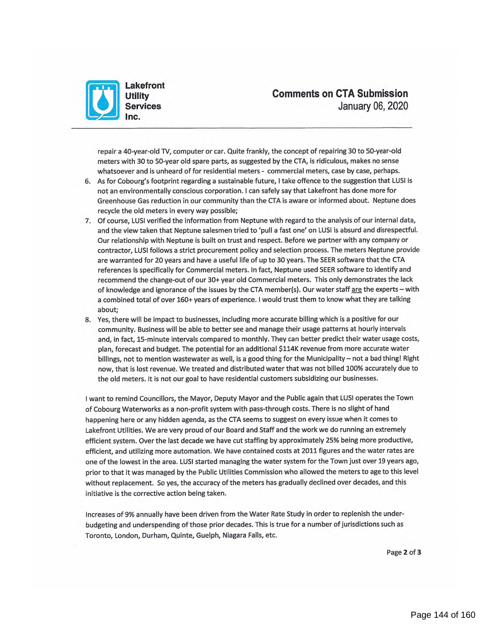

repair a 40-year-old TV, computer or car. Quite frankly, the concept of repairing 30 to 50-year-old meters with 30 to 50-year old spare parts, as suggested by the CTA, is ridiculous, makes no sense whatsoever and is unheard of for residential meters - commercial meters, case by case, perhaps.

- 6. As for Cobourg's footprint regarding a sustainable future, I take offence to the suggestion that LUSI is not an environmentally conscious corporation. I can safely say that Lakefront has done more for Greenhouse Gas reduction in our community than the CTA is aware or informed about. Neptune does recycle the old meters in every way possible;
- 7. Of course, LUSI verified the information from Neptune with regard to the analysis of our internal data, and the view taken that Neptune salesmen tried to 'pull a fast one' on LUSI is absurd and disrespectful. Our relationship with Neptune is built on trust and respect. Before we partner with any company or contractor, LUSI follows a strict procurement policy and selection process. The meters Neptune provide are warranted for 20 years and have a useful life of up to 30 years. The SEER software that the CTA references is specifically for Commercial meters. In fact, Neptune used SEER software to identify and recommend the change-out of our 30+ year old Commercial meters. This only demonstrates the lack of knowledge and ignorance of the issues by the CTA member(s). Our water staff are the experts – with a combined total of over 160+ years of experience. I would trust them to know what they are talking about;
- 8. Yes, there will be impact to businesses, including more accurate billing which is a positive for our community. Business will be able to better see and manage their usage patterns at hourly intervals and, in fact, 15-minute intervals compared to monthly. They can better predict their water usage costs, plan, forecast and budget. The potential for an additional \$114K revenue from more accurate water billings, not to mention wastewater as well, is a good thing for the Municipality — not a bad thing! Right now, that is lost revenue. We treated and distributed water that was not billed 100% accurately due to the old meters. It is not our goal to have residential customers subsidizing our businesses.

I want to remind Councillors, the Mayor, Deputy Mayor and the Public again that LUSI operates the Town of Cobourg Waterworks as a non-profit system with pass-through costs. There is no slight of hand happening here or any hidden agenda, as the CTA seems to suggest on every issue when it comes to Lakefront Utilities. We are very proud of our Board and Staff and the work we do running an extremely efficient system. Over the last decade we have cut staffing by approximately 25% being more productive, efficient, and utilizing more automation. We have contained costs at 2011 figures and the water rates are one of the lowest in the area. LUSI started managing the water system for the Town just over 19 years ago, prior to that it was managed by the Public Utilities Commission who allowed the meters to age to this level without replacement. So yes, the accuracy of the meters has gradually declined over decades, and this initiative is the corrective action being taken.

Increases of 9% annually have been driven from the Water Rate Study in order to replenish the underbudgeting and underspending of those prior decades. This is true for a number of jurisdictions such as Toronto, London, Durham, Quinte, Guelph, Niagara Falls, etc.

Page **2** of **3**